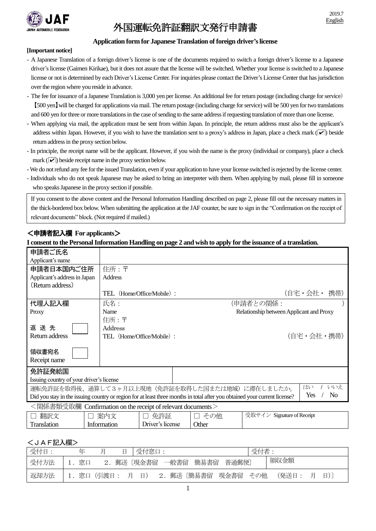

# 外国運転免許証翻訳文発行申請書

## **Application form for JapaneseTranslation of foreign driver's license**

#### **[Important notice]**

- A Japanese Translation of a foreign driver's license is one of the documents required to switch a foreign driver's license to a Japanese driver's license (Gaimen Kirikae), but it does not assure that the license will be switched. Whether your license is switched to a Japanese license or not is determined by each Driver's License Center. For inquiries please contact the Driver's License Center that has jurisdiction over the region where you reside in advance.
- The fee for issuance of a Japanese Translation is 3,000 yen per license. An additional fee for return postage (including charge for service) 【500 yen】will be charged for applications via mail.The return postage (including charge for service) will be 500 yen for two translations and 600 yen for three or more translations in the case of sending to the same address if requesting translation of more than one license.
- When applying via mail, the application must be sent from within Japan. In principle, the return address must also be the applicant's address within Japan. However, if you wish to have the translation sent to a proxy's address in Japan, place a check mark  $(\sqrt{\phantom{x}})$  beside return address in the proxy section below.
- In principle, the receipt name will be the applicant. However, if you wish the name is the proxy (individual or company), place a check mark  $(\vee)$  beside receipt name in the proxy section below.
- -We do not refund any fee for the issued Translation, even if your application to have your license switched is rejected by the license center.
- Individuals who do not speak Japanese may be asked to bring an interpreter with them. When applying by mail, please fill in someone who speaks Japanese in the proxy section if possible.

If you consent to the above content and the Personal Information Handling described on page 2, please fill out the necessary matters in the thick-bordered box below. When submitting the application at the JAF counter, be sure to sign in the "Confirmation on the receipt of relevant documents" block.(Not required if mailed.)

# <申請者記入欄 **For applicants**>

### **I consent to the Personal Information Handling on page 2 and wish to apply for the issuance of a translation.**

| 申請者ご氏名                                                                                                                                             |                                               |                                          |            |  |  |  |  |  |
|----------------------------------------------------------------------------------------------------------------------------------------------------|-----------------------------------------------|------------------------------------------|------------|--|--|--|--|--|
| Applicant's name                                                                                                                                   |                                               |                                          |            |  |  |  |  |  |
| 申請者日本国内ご住所                                                                                                                                         | 住所:〒                                          |                                          |            |  |  |  |  |  |
| Applicant's address in Japan                                                                                                                       | <b>Address</b>                                |                                          |            |  |  |  |  |  |
| (Return address)                                                                                                                                   |                                               |                                          |            |  |  |  |  |  |
|                                                                                                                                                    | TEL (Home/Office/Mobile):                     |                                          | (自宅・会社・携帯) |  |  |  |  |  |
| 代理人記入欄                                                                                                                                             | 氏名:                                           | (申請者との関係:                                |            |  |  |  |  |  |
| Proxy                                                                                                                                              | Name                                          | Relationship between Applicant and Proxy |            |  |  |  |  |  |
| 返送先<br>Return address                                                                                                                              | 住所:〒<br>Address<br>TEL (Home/Office/Mobile) : |                                          | (自宅・会社・携帯) |  |  |  |  |  |
| 領収書宛名<br>Receipt name                                                                                                                              |                                               |                                          |            |  |  |  |  |  |
| 免許証発給国<br>Issuing country of your driver's license                                                                                                 |                                               |                                          |            |  |  |  |  |  |
| はい<br>いいえ<br>運転免許証を取得後、通算して3ヶ月以上現地(免許証を取得した国または地域)に滞在しましたか。                                                                                        |                                               |                                          |            |  |  |  |  |  |
| N <sub>o</sub><br>Yes<br>Did you stay in the issuing country or region for at least three months in total after you obtained your current license? |                                               |                                          |            |  |  |  |  |  |
| ノ目【だキ业写が正期 Q C J J → C I J → V V                                                                                                                   |                                               |                                          |            |  |  |  |  |  |

| <関係書類受取欄 Confirmation on the receipt of relevant documents> |             |                  |       |                            |  |  |  |  |
|-------------------------------------------------------------|-------------|------------------|-------|----------------------------|--|--|--|--|
| 翻訳文                                                         | 案内文         | 免許証              | その他   | 受取サイン Signature of Receipt |  |  |  |  |
| Translation                                                 | Information | Driver's license | Other |                            |  |  |  |  |

# <JAF記入欄>

| 受付日: | 圧    | 日 | 「受付窓口:         |  |      |                                       | 受付者: |       |   |    |  |
|------|------|---|----------------|--|------|---------------------------------------|------|-------|---|----|--|
| 受付方法 | 1.窓口 |   | 2.郵送〔現金書留 一般書留 |  | 簡易書留 | 普通郵便〕                                 |      | 領収金額  |   |    |  |
| 返却方法 |      |   |                |  |      | 1. 窓口 (引渡日: 月 日) 2. 郵送 〔簡易書留 現金書留 その他 |      | (発送日: | Ħ | 日) |  |